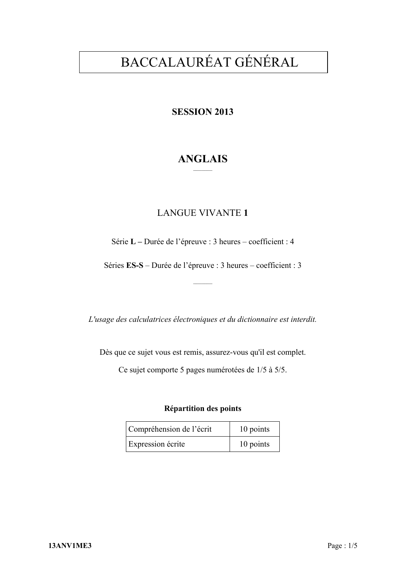# BACCALAURÉAT GÉNÉRAL

# **SESSION 2013**

#### **ANGLAIS**  $\mathcal{L}_\text{max}$

# LANGUE VIVANTE **1**

Série **L –** Durée de l'épreuve : 3 heures – coefficient : 4

Séries **ES-S** – Durée de l'épreuve : 3 heures – coefficient : 3

 $\mathcal{L}=\mathcal{L}$ 

*L'usage des calculatrices électroniques et du dictionnaire est interdit.* 

Dès que ce sujet vous est remis, assurez-vous qu'il est complet.

Ce sujet comporte 5 pages numérotées de 1/5 à 5/5.

#### **Répartition des points**

| Compréhension de l'écrit | 10 points |
|--------------------------|-----------|
| Expression écrite        | 10 points |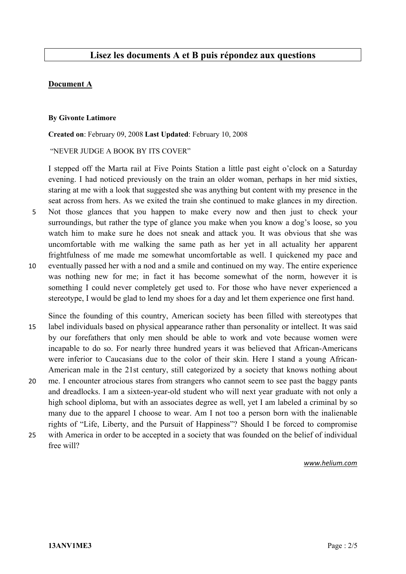## **Document A**

#### **By Givonte Latimore**

**Created on**: February 09, 2008 **Last Updated**: February 10, 2008

#### "NEVER JUDGE A BOOK BY ITS COVER"

I stepped off the Marta rail at Five Points Station a little past eight o'clock on a Saturday evening. I had noticed previously on the train an older woman, perhaps in her mid sixties, staring at me with a look that suggested she was anything but content with my presence in the seat across from hers. As we exited the train she continued to make glances in my direction.

- 5 Not those glances that you happen to make every now and then just to check your surroundings, but rather the type of glance you make when you know a dog's loose, so you watch him to make sure he does not sneak and attack you. It was obvious that she was uncomfortable with me walking the same path as her yet in all actuality her apparent frightfulness of me made me somewhat uncomfortable as well. I quickened my pace and
- 10 eventually passed her with a nod and a smile and continued on my way. The entire experience was nothing new for me; in fact it has become somewhat of the norm, however it is something I could never completely get used to. For those who have never experienced a stereotype, I would be glad to lend my shoes for a day and let them experience one first hand.
- Since the founding of this country, American society has been filled with stereotypes that 15 label individuals based on physical appearance rather than personality or intellect. It was said by our forefathers that only men should be able to work and vote because women were incapable to do so. For nearly three hundred years it was believed that African-Americans were inferior to Caucasians due to the color of their skin. Here I stand a young African-American male in the 21st century, still categorized by a society that knows nothing about
- 20 me. I encounter atrocious stares from strangers who cannot seem to see past the baggy pants and dreadlocks. I am a sixteen-year-old student who will next year graduate with not only a high school diploma, but with an associates degree as well, yet I am labeled a criminal by so many due to the apparel I choose to wear. Am I not too a person born with the inalienable rights of "Life, Liberty, and the Pursuit of Happiness"? Should I be forced to compromise
- 25 with America in order to be accepted in a society that was founded on the belief of individual free will?

*www.helium.com*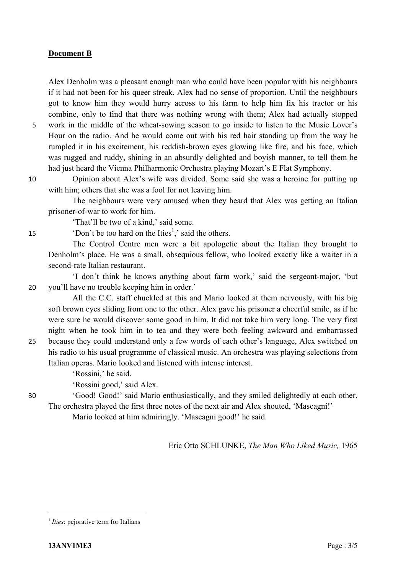#### **Document B**

Alex Denholm was a pleasant enough man who could have been popular with his neighbours if it had not been for his queer streak. Alex had no sense of proportion. Until the neighbours got to know him they would hurry across to his farm to help him fix his tractor or his combine, only to find that there was nothing wrong with them; Alex had actually stopped

- 5 work in the middle of the wheat-sowing season to go inside to listen to the Music Lover's Hour on the radio. And he would come out with his red hair standing up from the way he rumpled it in his excitement, his reddish-brown eyes glowing like fire, and his face, which was rugged and ruddy, shining in an absurdly delighted and boyish manner, to tell them he had just heard the Vienna Philharmonic Orchestra playing Mozart's E Flat Symphony.
- 10 Opinion about Alex's wife was divided. Some said she was a heroine for putting up with him; others that she was a fool for not leaving him.

 The neighbours were very amused when they heard that Alex was getting an Italian prisoner-of-war to work for him.

'That'll be two of a kind,' said some.

15  $\sqrt{2}$  Don't be too hard on the Ities<sup>1</sup>, said the others.

 The Control Centre men were a bit apologetic about the Italian they brought to Denholm's place. He was a small, obsequious fellow, who looked exactly like a waiter in a second-rate Italian restaurant.

 'I don't think he knows anything about farm work,' said the sergeant-major, 'but 20 you'll have no trouble keeping him in order.'

 All the C.C. staff chuckled at this and Mario looked at them nervously, with his big soft brown eyes sliding from one to the other. Alex gave his prisoner a cheerful smile, as if he were sure he would discover some good in him. It did not take him very long. The very first night when he took him in to tea and they were both feeling awkward and embarrassed 25 because they could understand only a few words of each other's language, Alex switched on

his radio to his usual programme of classical music. An orchestra was playing selections from Italian operas. Mario looked and listened with intense interest.

'Rossini,' he said.

'Rossini good,' said Alex.

30 'Good! Good!' said Mario enthusiastically, and they smiled delightedly at each other. The orchestra played the first three notes of the next air and Alex shouted, 'Mascagni!'

Mario looked at him admiringly. 'Mascagni good!' he said.

Eric Otto SCHLUNKE, *The Man Who Liked Music,* 1965

 <sup>1</sup> *Ities*: pejorative term for Italians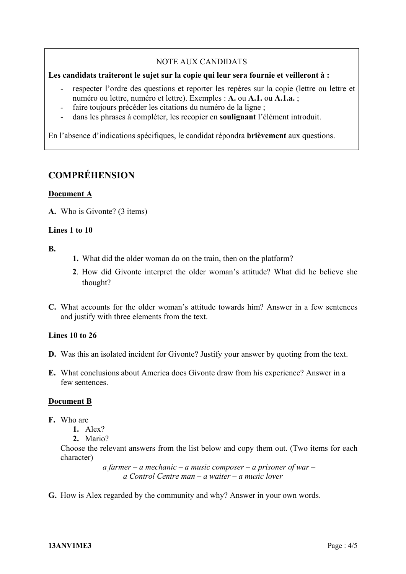### NOTE AUX CANDIDATS

#### **Les candidats traiteront le sujet sur la copie qui leur sera fournie et veilleront à :**

- respecter l'ordre des questions et reporter les repères sur la copie (lettre ou lettre et numéro ou lettre, numéro et lettre). Exemples : **A.** ou **A.1.** ou **A.1.a.** ;
- faire toujours précéder les citations du numéro de la ligne ;
- dans les phrases à compléter, les recopier en **soulignant** l'élément introduit.

En l'absence d'indications spécifiques, le candidat répondra **brièvement** aux questions.

# **COMPRÉHENSION**

#### **Document A**

**A.** Who is Givonte? (3 items)

#### **Lines 1 to 10**

#### **B.**

- **1.** What did the older woman do on the train, then on the platform?
- **2**. How did Givonte interpret the older woman's attitude? What did he believe she thought?
- **C.** What accounts for the older woman's attitude towards him? Answer in a few sentences and justify with three elements from the text.

#### **Lines 10 to 26**

- **D.** Was this an isolated incident for Givonte? Justify your answer by quoting from the text.
- **E.** What conclusions about America does Givonte draw from his experience? Answer in a few sentences.

#### **Document B**

- **F.** Who are
	- **1.** Alex?
		- **2.** Mario?

Choose the relevant answers from the list below and copy them out. (Two items for each character)

> *a farmer – a mechanic – a music composer – a prisoner of war – a Control Centre man – a waiter – a music lover*

**G.** How is Alex regarded by the community and why? Answer in your own words.